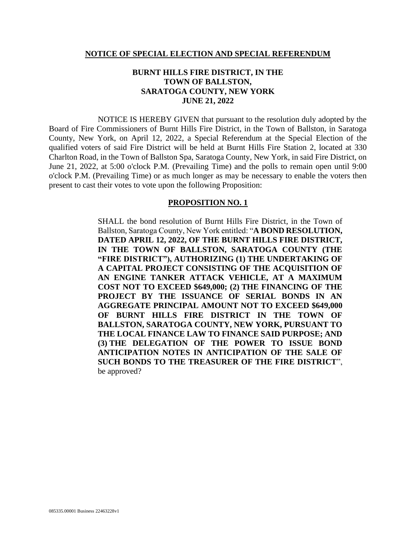#### **NOTICE OF SPECIAL ELECTION AND SPECIAL REFERENDUM**

## **BURNT HILLS FIRE DISTRICT, IN THE TOWN OF BALLSTON, SARATOGA COUNTY, NEW YORK JUNE 21, 2022**

NOTICE IS HEREBY GIVEN that pursuant to the resolution duly adopted by the Board of Fire Commissioners of Burnt Hills Fire District, in the Town of Ballston, in Saratoga County, New York, on April 12, 2022, a Special Referendum at the Special Election of the qualified voters of said Fire District will be held at Burnt Hills Fire Station 2, located at 330 Charlton Road, in the Town of Ballston Spa, Saratoga County, New York, in said Fire District, on June 21, 2022, at 5:00 o'clock P.M. (Prevailing Time) and the polls to remain open until 9:00 o'clock P.M. (Prevailing Time) or as much longer as may be necessary to enable the voters then present to cast their votes to vote upon the following Proposition:

#### **PROPOSITION NO. 1**

SHALL the bond resolution of Burnt Hills Fire District, in the Town of Ballston, Saratoga County, New York entitled: "**A BOND RESOLUTION, DATED APRIL 12, 2022, OF THE BURNT HILLS FIRE DISTRICT, IN THE TOWN OF BALLSTON, SARATOGA COUNTY (THE "FIRE DISTRICT"), AUTHORIZING (1) THE UNDERTAKING OF A CAPITAL PROJECT CONSISTING OF THE ACQUISITION OF AN ENGINE TANKER ATTACK VEHICLE, AT A MAXIMUM COST NOT TO EXCEED \$649,000; (2) THE FINANCING OF THE PROJECT BY THE ISSUANCE OF SERIAL BONDS IN AN AGGREGATE PRINCIPAL AMOUNT NOT TO EXCEED \$649,000 OF BURNT HILLS FIRE DISTRICT IN THE TOWN OF BALLSTON, SARATOGA COUNTY, NEW YORK, PURSUANT TO THE LOCAL FINANCE LAW TO FINANCE SAID PURPOSE; AND (3) THE DELEGATION OF THE POWER TO ISSUE BOND ANTICIPATION NOTES IN ANTICIPATION OF THE SALE OF SUCH BONDS TO THE TREASURER OF THE FIRE DISTRICT**", be approved?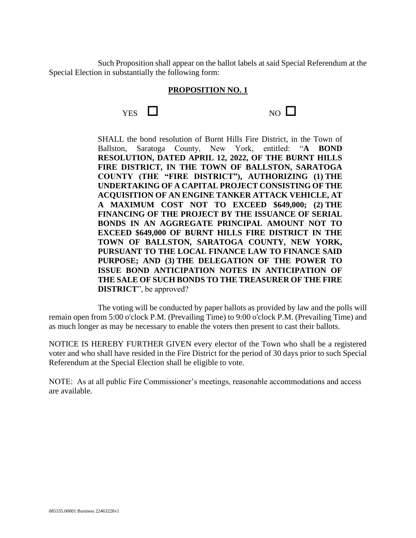Such Proposition shall appear on the ballot labels at said Special Referendum at the Special Election in substantially the following form:

### **PROPOSITION NO. 1**

| <b>YES</b> | $NO$ $\Box$ |
|------------|-------------|
|------------|-------------|

SHALL the bond resolution of Burnt Hills Fire District, in the Town of Ballston, Saratoga County, New York, entitled: "**A BOND RESOLUTION, DATED APRIL 12, 2022, OF THE BURNT HILLS FIRE DISTRICT, IN THE TOWN OF BALLSTON, SARATOGA COUNTY (THE "FIRE DISTRICT"), AUTHORIZING (1) THE UNDERTAKING OF A CAPITAL PROJECT CONSISTING OF THE ACQUISITION OF AN ENGINE TANKER ATTACK VEHICLE, AT A MAXIMUM COST NOT TO EXCEED \$649,000; (2) THE FINANCING OF THE PROJECT BY THE ISSUANCE OF SERIAL BONDS IN AN AGGREGATE PRINCIPAL AMOUNT NOT TO EXCEED \$649,000 OF BURNT HILLS FIRE DISTRICT IN THE TOWN OF BALLSTON, SARATOGA COUNTY, NEW YORK, PURSUANT TO THE LOCAL FINANCE LAW TO FINANCE SAID PURPOSE; AND (3) THE DELEGATION OF THE POWER TO ISSUE BOND ANTICIPATION NOTES IN ANTICIPATION OF THE SALE OF SUCH BONDS TO THE TREASURER OF THE FIRE DISTRICT**", be approved?

The voting will be conducted by paper ballots as provided by law and the polls will remain open from 5:00 o'clock P.M. (Prevailing Time) to 9:00 o'clock P.M. (Prevailing Time) and as much longer as may be necessary to enable the voters then present to cast their ballots.

NOTICE IS HEREBY FURTHER GIVEN every elector of the Town who shall be a registered voter and who shall have resided in the Fire District for the period of 30 days prior to such Special Referendum at the Special Election shall be eligible to vote.

NOTE: As at all public Fire Commissioner's meetings, reasonable accommodations and access are available.